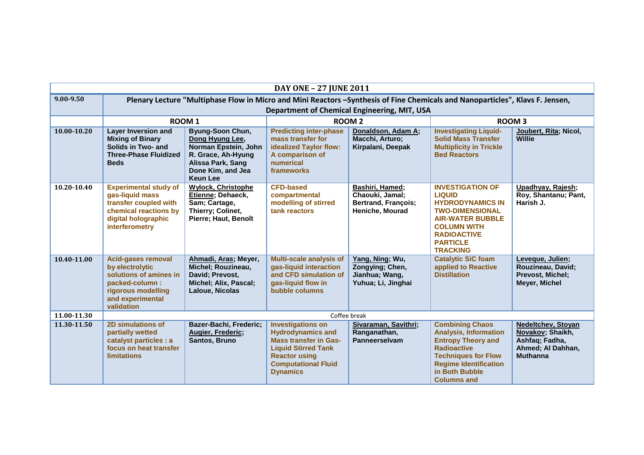|               | <b>DAY ONE - 27 JUNE 2011</b>                                                                                                                                                 |                                                                                                                                                |                                                                                                                                                                                             |                                                                                     |                                                                                                                                                                                                                 |                                                                                                         |
|---------------|-------------------------------------------------------------------------------------------------------------------------------------------------------------------------------|------------------------------------------------------------------------------------------------------------------------------------------------|---------------------------------------------------------------------------------------------------------------------------------------------------------------------------------------------|-------------------------------------------------------------------------------------|-----------------------------------------------------------------------------------------------------------------------------------------------------------------------------------------------------------------|---------------------------------------------------------------------------------------------------------|
| $9.00 - 9.50$ | Plenary Lecture "Multiphase Flow in Micro and Mini Reactors -Synthesis of Fine Chemicals and Nanoparticles", Klavs F. Jensen,<br>Department of Chemical Engineering, MIT, USA |                                                                                                                                                |                                                                                                                                                                                             |                                                                                     |                                                                                                                                                                                                                 |                                                                                                         |
|               | <b>ROOM1</b>                                                                                                                                                                  |                                                                                                                                                |                                                                                                                                                                                             | <b>ROOM2</b>                                                                        | <b>ROOM3</b>                                                                                                                                                                                                    |                                                                                                         |
| 10.00-10.20   | <b>Layer Inversion and</b><br><b>Mixing of Binary</b><br>Solids in Two- and<br><b>Three-Phase Fluidized</b><br><b>Beds</b>                                                    | Byung-Soon Chun,<br>Dong Hyung Lee,<br>Norman Epstein, John<br>R. Grace, Ah-Hyung<br>Alissa Park, Sang<br>Done Kim, and Jea<br><b>Keun Lee</b> | <b>Predicting inter-phase</b><br>mass transfer for<br>idealized Taylor flow:<br>A comparison of<br>numerical<br>frameworks                                                                  | Donaldson, Adam A;<br>Macchi, Arturo;<br>Kirpalani, Deepak                          | <b>Investigating Liquid-</b><br><b>Solid Mass Transfer</b><br><b>Multiplicity in Trickle</b><br><b>Bed Reactors</b>                                                                                             | Joubert, Rita; Nicol,<br><b>Willie</b>                                                                  |
| 10.20-10.40   | <b>Experimental study of</b><br>gas-liquid mass<br>transfer coupled with<br>chemical reactions by<br>digital holographic<br>interferometry                                    | <b>Wylock, Christophe</b><br>Etienne; Dehaeck,<br>Sam; Cartage,<br>Thierry; Colinet,<br>Pierre; Haut, Benoît                                   | <b>CFD-based</b><br>compartmental<br>modelling of stirred<br>tank reactors                                                                                                                  | Bashiri, Hamed;<br>Chaouki, Jamal;<br><b>Bertrand, François;</b><br>Heniche, Mourad | <b>INVESTIGATION OF</b><br><b>LIQUID</b><br><b>HYDRODYNAMICS IN</b><br><b>TWO-DIMENSIONAL</b><br><b>AIR-WATER BUBBLE</b><br><b>COLUMN WITH</b><br><b>RADIOACTIVE</b><br><b>PARTICLE</b><br><b>TRACKING</b>      | Upadhyay, Rajesh;<br>Roy, Shantanu; Pant,<br>Harish J.                                                  |
| 10.40-11.00   | <b>Acid-gases removal</b><br>by electrolytic<br>solutions of amines in<br>packed-column:<br>rigorous modelling<br>and experimental<br>validation                              | Ahmadi, Aras; Meyer,<br>Michel; Rouzineau,<br>David; Prevost,<br>Michel; Alix, Pascal;<br>Laloue, Nicolas                                      | <b>Multi-scale analysis of</b><br>gas-liquid interaction<br>and CFD simulation of<br>gas-liquid flow in<br>bubble columns                                                                   | Yang, Ning; Wu,<br>Zongying; Chen,<br>Jianhua; Wang,<br>Yuhua; Li, Jinghai          | <b>Catalytic SiC foam</b><br>applied to Reactive<br><b>Distillation</b>                                                                                                                                         | Leveque, Julien;<br>Rouzineau, David;<br>Prevost, Michel;<br>Meyer, Michel                              |
| 11.00-11.30   |                                                                                                                                                                               |                                                                                                                                                |                                                                                                                                                                                             | Coffee break                                                                        |                                                                                                                                                                                                                 |                                                                                                         |
| 11.30-11.50   | 2D simulations of<br>partially wetted<br>catalyst particles : a<br>focus on heat transfer<br><b>limitations</b>                                                               | Bazer-Bachi, Frederic;<br><b>Augier, Frederic;</b><br>Santos, Bruno                                                                            | <b>Investigations on</b><br><b>Hydrodynamics and</b><br><b>Mass transfer in Gas-</b><br><b>Liquid Stirred Tank</b><br><b>Reactor using</b><br><b>Computational Fluid</b><br><b>Dynamics</b> | Sivaraman, Savithri;<br>Ranganathan,<br><b>Panneerselvam</b>                        | <b>Combining Chaos</b><br><b>Analysis, Information</b><br><b>Entropy Theory and</b><br><b>Radioactive</b><br><b>Techniques for Flow</b><br><b>Regime Identification</b><br>in Both Bubble<br><b>Columns and</b> | <b>Nedeltchev, Stoyan</b><br>Novakov; Shaikh,<br>Ashfaq; Fadha,<br>Ahmed; Al Dahhan,<br><b>Muthanna</b> |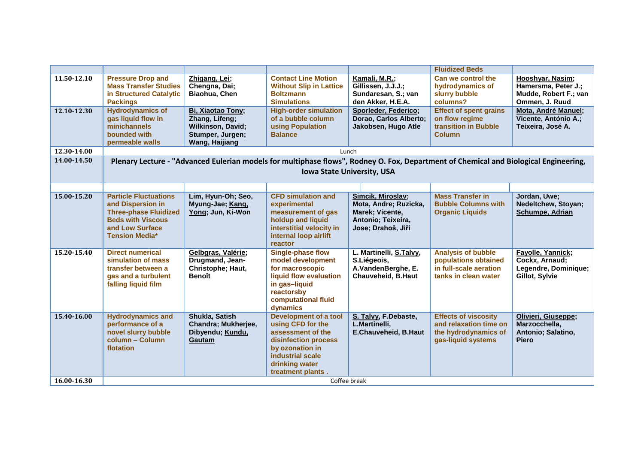|             |                                                                                                                                                           |                                                                                                |                                                                                                                                                                              |                                                                                                           | <b>Fluidized Beds</b>                                                                               |                                                                                    |
|-------------|-----------------------------------------------------------------------------------------------------------------------------------------------------------|------------------------------------------------------------------------------------------------|------------------------------------------------------------------------------------------------------------------------------------------------------------------------------|-----------------------------------------------------------------------------------------------------------|-----------------------------------------------------------------------------------------------------|------------------------------------------------------------------------------------|
| 11.50-12.10 | <b>Pressure Drop and</b><br><b>Mass Transfer Studies</b><br>in Structured Catalytic<br><b>Packings</b>                                                    | Zhigang, Lei;<br>Chengna, Dai;<br>Biaohua, Chen                                                | <b>Contact Line Motion</b><br><b>Without Slip in Lattice</b><br><b>Boltzmann</b><br><b>Simulations</b>                                                                       | Kamali, M.R.;<br>Gillissen, J.J.J.;<br>Sundaresan, S.; van<br>den Akker, H.E.A.                           | Can we control the<br>hydrodynamics of<br>slurry bubble<br>columns?                                 | Hooshyar, Nasim;<br>Hamersma, Peter J.;<br>Mudde, Robert F.; van<br>Ommen, J. Ruud |
| 12.10-12.30 | <b>Hydrodynamics of</b><br>gas liquid flow in<br>minichannels<br>bounded with<br>permeable walls                                                          | Bi, Xiaotao Tony;<br>Zhang, Lifeng;<br>Wilkinson, David;<br>Stumper, Jurgen;<br>Wang, Haijiang | <b>High-order simulation</b><br>of a bubble column<br>using Population<br><b>Balance</b>                                                                                     | Sporleder, Federico;<br>Dorao, Carlos Alberto;<br>Jakobsen, Hugo Atle                                     | <b>Effect of spent grains</b><br>on flow regime<br>transition in Bubble<br><b>Column</b>            | Mota, André Manuel;<br>Vicente, António A.;<br>Teixeira, José A.                   |
| 12.30-14.00 |                                                                                                                                                           |                                                                                                |                                                                                                                                                                              | Lunch                                                                                                     |                                                                                                     |                                                                                    |
| 14.00-14.50 |                                                                                                                                                           |                                                                                                | Plenary Lecture - "Advanced Eulerian models for multiphase flows", Rodney O. Fox, Department of Chemical and Biological Engineering,                                         |                                                                                                           |                                                                                                     |                                                                                    |
|             |                                                                                                                                                           |                                                                                                |                                                                                                                                                                              | <b>Iowa State University, USA</b>                                                                         |                                                                                                     |                                                                                    |
|             |                                                                                                                                                           |                                                                                                |                                                                                                                                                                              |                                                                                                           |                                                                                                     |                                                                                    |
| 15.00-15.20 | <b>Particle Fluctuations</b><br>and Dispersion in<br><b>Three-phase Fluidized</b><br><b>Beds with Viscous</b><br>and Low Surface<br><b>Tension Media*</b> | Lim, Hyun-Oh; Seo,<br>Myung-Jae; Kang,<br>Yong; Jun, Ki-Won                                    | <b>CFD simulation and</b><br>experimental<br>measurement of gas<br>holdup and liquid<br>interstitial velocity in<br>internal loop airlift<br>reactor                         | Simcik, Miroslav;<br>Mota, Andre; Ruzicka,<br>Marek; Vicente,<br>Antonio; Teixeira,<br>Jose; Drahoš, Jiří | <b>Mass Transfer in</b><br><b>Bubble Columns with</b><br><b>Organic Liquids</b>                     | Jordan, Uwe;<br>Nedeltchew, Stoyan;<br>Schumpe, Adrian                             |
| 15.20-15.40 | <b>Direct numerical</b><br>simulation of mass<br>transfer between a<br>gas and a turbulent<br>falling liquid film                                         | Gelbgras, Valérie;<br>Drugmand, Jean-<br>Christophe; Haut,<br><b>Benoît</b>                    | <b>Single-phase flow</b><br>model development<br>for macroscopic<br>liquid flow evaluation<br>in gas-liquid<br>reactorsby<br>computational fluid<br>dynamics                 | L. Martinelli, S.Talvy,<br>S.Liégeois,<br>A.VandenBerghe, E.<br>Chauveheid, B.Haut                        | <b>Analysis of bubble</b><br>populations obtained<br>in full-scale aeration<br>tanks in clean water | Fayolle, Yannick;<br>Cockx, Arnaud;<br>Legendre, Dominique;<br>Gillot, Sylvie      |
| 15.40-16.00 | <b>Hydrodynamics and</b><br>performance of a<br>novel slurry bubble<br>column - Column<br>flotation                                                       | Shukla, Satish<br>Chandra; Mukherjee,<br>Dibyendu; Kundu,<br>Gautam                            | <b>Development of a tool</b><br>using CFD for the<br>assessment of the<br>disinfection process<br>by ozonation in<br>industrial scale<br>drinking water<br>treatment plants. | S. Talvy, F.Debaste,<br>L.Martinelli,<br>E.Chauveheid, B.Haut                                             | <b>Effects of viscosity</b><br>and relaxation time on<br>the hydrodynamics of<br>gas-liquid systems | Olivieri, Giuseppe;<br>Marzocchella,<br>Antonio; Salatino,<br><b>Piero</b>         |
| 16.00-16.30 | Coffee break                                                                                                                                              |                                                                                                |                                                                                                                                                                              |                                                                                                           |                                                                                                     |                                                                                    |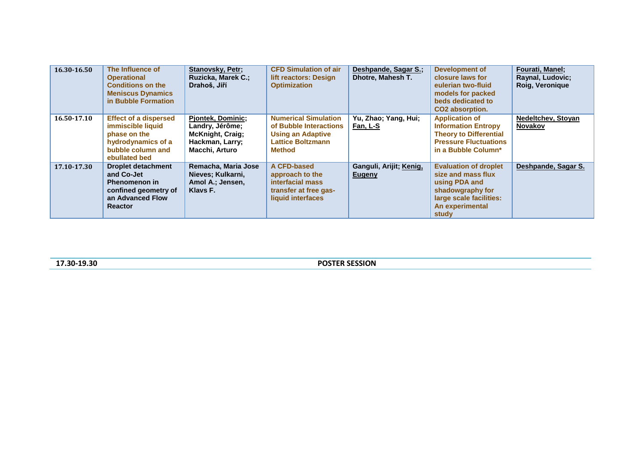| 16.30-16.50 | The Influence of<br><b>Operational</b><br><b>Conditions on the</b><br><b>Meniscus Dynamics</b><br>in Bubble Formation         | <b>Stanovsky, Petr;</b><br>Ruzicka, Marek C.;<br>Drahoš, Jiří                                               | <b>CFD Simulation of air</b><br>lift reactors: Design<br><b>Optimization</b>                                            | Deshpande, Sagar S.;<br>Dhotre, Mahesh T. | <b>Development of</b><br>closure laws for<br>eulerian two-fluid<br>models for packed<br>beds dedicated to<br>CO2 absorption.                   | Fourati, Manel;<br>Raynal, Ludovic;<br>Roig, Veronique |
|-------------|-------------------------------------------------------------------------------------------------------------------------------|-------------------------------------------------------------------------------------------------------------|-------------------------------------------------------------------------------------------------------------------------|-------------------------------------------|------------------------------------------------------------------------------------------------------------------------------------------------|--------------------------------------------------------|
| 16.50-17.10 | <b>Effect of a dispersed</b><br>immiscible liquid<br>phase on the<br>hydrodynamics of a<br>bubble column and<br>ebullated bed | <b>Pjontek, Dominic;</b><br>Landry, Jérôme;<br><b>McKnight, Craig;</b><br>Hackman, Larry;<br>Macchi, Arturo | <b>Numerical Simulation</b><br>of Bubble Interactions<br><b>Using an Adaptive</b><br>Lattice Boltzmann<br><b>Method</b> | Yu, Zhao; Yang, Hui;<br><b>Fan, L-S</b>   | <b>Application of</b><br><b>Information Entropy</b><br><b>Theory to Differential</b><br><b>Pressure Fluctuations</b><br>in a Bubble Column*    | Nedeltchev, Stoyan<br><b>Novakov</b>                   |
| 17.10-17.30 | <b>Droplet detachment</b><br>and Co-Jet<br><b>Phenomenon in</b><br>confined geometry of<br>an Advanced Flow<br><b>Reactor</b> | Remacha, Maria Jose<br>Nieves; Kulkarni,<br>Amol A.; Jensen,<br>Klavs F.                                    | A CFD-based<br>approach to the<br>interfacial mass<br>transfer at free gas-<br>liquid interfaces                        | Ganguli, Arijit; Kenig,<br>Eugeny         | <b>Evaluation of droplet</b><br>size and mass flux<br>using PDA and<br>shadowgraphy for<br>large scale facilities:<br>An experimental<br>study | Deshpande, Sagar S.                                    |

**17.30-19.30 POSTER SESSION**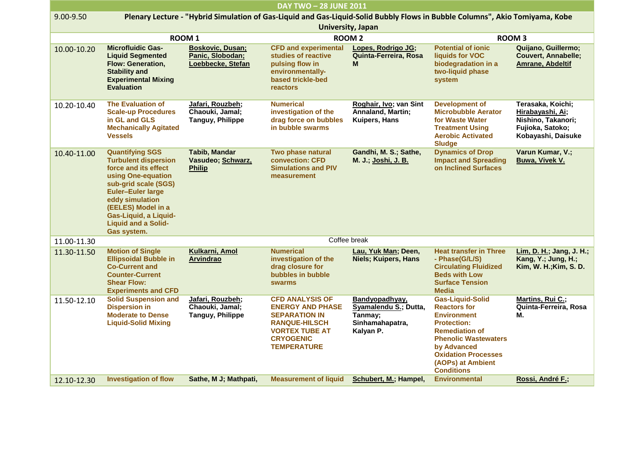| <b>DAY TWO - 28 JUNE 2011</b> |                                                                                                                                                                                                                                                                        |                                                                  |                                                                                                                                                                      |                                                                                    |                                                                                                                                                                                                                                           |                                                                                                       |
|-------------------------------|------------------------------------------------------------------------------------------------------------------------------------------------------------------------------------------------------------------------------------------------------------------------|------------------------------------------------------------------|----------------------------------------------------------------------------------------------------------------------------------------------------------------------|------------------------------------------------------------------------------------|-------------------------------------------------------------------------------------------------------------------------------------------------------------------------------------------------------------------------------------------|-------------------------------------------------------------------------------------------------------|
| 9.00-9.50                     |                                                                                                                                                                                                                                                                        |                                                                  | Plenary Lecture - "Hybrid Simulation of Gas-Liquid and Gas-Liquid-Solid Bubbly Flows in Bubble Columns", Akio Tomiyama, Kobe                                         | <b>University, Japan</b>                                                           |                                                                                                                                                                                                                                           |                                                                                                       |
|                               |                                                                                                                                                                                                                                                                        | ROOM <sub>1</sub>                                                |                                                                                                                                                                      | <b>ROOM 2</b>                                                                      |                                                                                                                                                                                                                                           | <b>ROOM3</b>                                                                                          |
| 10.00-10.20                   | <b>Microfluidic Gas-</b><br><b>Liquid Segmented</b><br>Flow: Generation,<br><b>Stability and</b><br><b>Experimental Mixing</b><br><b>Evaluation</b>                                                                                                                    | <b>Boskovic, Dusan;</b><br>Panic, Slobodan;<br>Loebbecke, Stefan | <b>CFD and experimental</b><br>studies of reactive<br>pulsing flow in<br>environmentally-<br>based trickle-bed<br><b>reactors</b>                                    | Lopes, Rodrigo JG;<br>Quinta-Ferreira, Rosa<br>M                                   | <b>Potential of ionic</b><br>liquids for VOC<br>biodegradation in a<br>two-liquid phase<br>system                                                                                                                                         | Quijano, Guillermo;<br><b>Couvert, Annabelle;</b><br>Amrane, Abdeltif                                 |
| 10.20-10.40                   | <b>The Evaluation of</b><br><b>Scale-up Procedures</b><br>in GL and GLS<br><b>Mechanically Agitated</b><br><b>Vessels</b>                                                                                                                                              | Jafari, Rouzbeh;<br>Chaouki, Jamal;<br><b>Tanguy, Philippe</b>   | <b>Numerical</b><br>investigation of the<br>drag force on bubbles<br>in bubble swarms                                                                                | Roghair, Ivo; van Sint<br>Annaland, Martin;<br><b>Kuipers, Hans</b>                | <b>Development of</b><br><b>Microbubble Aerator</b><br>for Waste Water<br><b>Treatment Using</b><br><b>Aerobic Activated</b><br><b>Sludge</b>                                                                                             | Terasaka, Koichi;<br>Hirabayashi, Ai;<br>Nishino, Takanori;<br>Fujioka, Satoko;<br>Kobayashi, Daisuke |
| 10.40-11.00                   | <b>Quantifying SGS</b><br><b>Turbulent dispersion</b><br>force and its effect<br>using One-equation<br>sub-grid scale (SGS)<br><b>Euler-Euler large</b><br>eddy simulation<br>(EELES) Model in a<br>Gas-Liquid, a Liquid-<br><b>Liquid and a Solid-</b><br>Gas system. | <b>Tabib, Mandar</b><br>Vasudeo; Schwarz,<br><b>Philip</b>       | Two phase natural<br>convection: CFD<br><b>Simulations and PIV</b><br>measurement                                                                                    | Gandhi, M. S.; Sathe,<br>M. J.; Joshi, J. B.                                       | <b>Dynamics of Drop</b><br><b>Impact and Spreading</b><br>on Inclined Surfaces                                                                                                                                                            | Varun Kumar, V.;<br>Buwa, Vivek V.                                                                    |
| 11.00-11.30                   |                                                                                                                                                                                                                                                                        |                                                                  |                                                                                                                                                                      | Coffee break                                                                       |                                                                                                                                                                                                                                           |                                                                                                       |
| 11.30-11.50                   | <b>Motion of Single</b><br><b>Ellipsoidal Bubble in</b><br><b>Co-Current and</b><br><b>Counter-Current</b><br><b>Shear Flow:</b><br><b>Experiments and CFD</b>                                                                                                         | Kulkarni, Amol<br><b>Arvindrao</b>                               | <b>Numerical</b><br>investigation of the<br>drag closure for<br>bubbles in bubble<br><b>swarms</b>                                                                   | Lau, Yuk Man; Deen,<br><b>Niels; Kuipers, Hans</b>                                 | <b>Heat transfer in Three</b><br>- Phase(G/L/S)<br><b>Circulating Fluidized</b><br><b>Beds with Low</b><br><b>Surface Tension</b><br><b>Media</b>                                                                                         | Lim, D. H.; Jang, J. H.;<br>Kang, Y.; Jung, H.;<br>Kim, W. H.; Kim, S. D.                             |
| 11.50-12.10                   | <b>Solid Suspension and</b><br><b>Dispersion in</b><br><b>Moderate to Dense</b><br><b>Liquid-Solid Mixing</b>                                                                                                                                                          | Jafari, Rouzbeh;<br>Chaouki, Jamal;<br><b>Tanguy, Philippe</b>   | <b>CFD ANALYSIS OF</b><br><b>ENERGY AND PHASE</b><br><b>SEPARATION IN</b><br><b>RANQUE-HILSCH</b><br><b>VORTEX TUBE AT</b><br><b>CRYOGENIC</b><br><b>TEMPERATURE</b> | Bandyopadhyay,<br>Syamalendu S.; Dutta,<br>Tanmay:<br>Sinhamahapatra,<br>Kalyan P. | <b>Gas-Liquid-Solid</b><br><b>Reactors for</b><br><b>Environment</b><br><b>Protection:</b><br><b>Remediation of</b><br><b>Phenolic Wastewaters</b><br>by Advanced<br><b>Oxidation Processes</b><br>(AOPs) at Ambient<br><b>Conditions</b> | Martins, Rui C.;<br>Quinta-Ferreira, Rosa<br>М.                                                       |
| 12.10-12.30                   | <b>Investigation of flow</b>                                                                                                                                                                                                                                           | Sathe, M J; Mathpati,                                            | <b>Measurement of liquid</b>                                                                                                                                         | Schubert, M.; Hampel,                                                              | <b>Environmental</b>                                                                                                                                                                                                                      | Rossi, André F.;                                                                                      |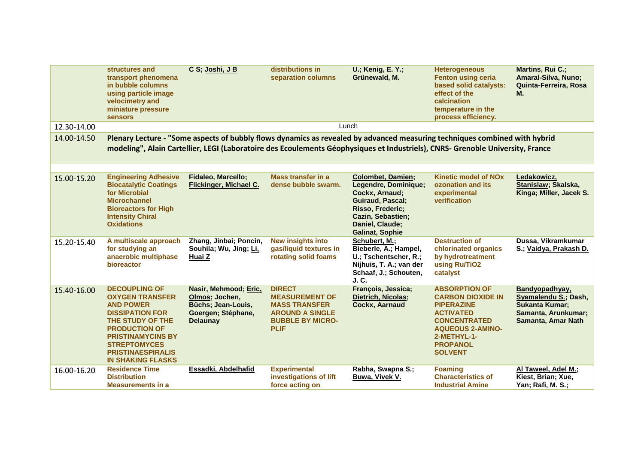|             | structures and<br>transport phenomena<br>in bubble columns<br>using particle image<br>velocimetry and<br>miniature pressure<br><b>sensors</b>                                                                                                       | C S; Joshi, J B                                                                                        | distributions in<br>separation columns                                                                                             | <b>U.; Kenig, E. Y.;</b><br>Grünewald, M.                                                                                                                                                                                                                    | <b>Heterogeneous</b><br><b>Fenton using ceria</b><br>based solid catalysts:<br>effect of the<br>calcination<br>temperature in the<br>process efficiency.                                        | Martins, Rui C.;<br>Amaral-Silva, Nuno;<br>Quinta-Ferreira, Rosa<br>М.                                       |
|-------------|-----------------------------------------------------------------------------------------------------------------------------------------------------------------------------------------------------------------------------------------------------|--------------------------------------------------------------------------------------------------------|------------------------------------------------------------------------------------------------------------------------------------|--------------------------------------------------------------------------------------------------------------------------------------------------------------------------------------------------------------------------------------------------------------|-------------------------------------------------------------------------------------------------------------------------------------------------------------------------------------------------|--------------------------------------------------------------------------------------------------------------|
| 12.30-14.00 |                                                                                                                                                                                                                                                     |                                                                                                        |                                                                                                                                    | Lunch                                                                                                                                                                                                                                                        |                                                                                                                                                                                                 |                                                                                                              |
| 14.00-14.50 |                                                                                                                                                                                                                                                     |                                                                                                        |                                                                                                                                    | Plenary Lecture - "Some aspects of bubbly flows dynamics as revealed by advanced measuring techniques combined with hybrid<br>modeling", Alain Cartellier, LEGI (Laboratoire des Ecoulements Géophysiques et Industriels), CNRS- Grenoble University, France |                                                                                                                                                                                                 |                                                                                                              |
| 15.00-15.20 | <b>Engineering Adhesive</b><br><b>Biocatalytic Coatings</b><br>for Microbial<br><b>Microchannel</b><br><b>Bioreactors for High</b><br><b>Intensity Chiral</b><br><b>Oxidations</b>                                                                  | <b>Fidaleo, Marcello;</b><br>Flickinger, Michael C.                                                    | <b>Mass transfer in a</b><br>dense bubble swarm.                                                                                   | <b>Colombet, Damien;</b><br>Legendre, Dominique;<br>Cockx, Arnaud;<br><b>Guiraud, Pascal;</b><br>Risso, Frederic;<br><b>Cazin, Sebastien;</b><br>Daniel, Claude;<br><b>Galinat, Sophie</b>                                                                   | <b>Kinetic model of NOx</b><br>ozonation and its<br>experimental<br>verification                                                                                                                | Ledakowicz,<br>Stanislaw; Skalska,<br>Kinga; Miller, Jacek S.                                                |
| 15.20-15.40 | A multiscale approach<br>for studying an<br>anaerobic multiphase<br>bioreactor                                                                                                                                                                      | Zhang, Jinbai; Poncin,<br>Souhila; Wu, Jing; Li,<br>Huai Z                                             | <b>New insights into</b><br>gas/liquid textures in<br>rotating solid foams                                                         | Schubert, M.;<br>Bieberle, A.; Hampel,<br>U.; Tschentscher, R.;<br>Nijhuis, T. A.; van der<br>Schaaf, J.; Schouten,<br>J.C.                                                                                                                                  | <b>Destruction of</b><br>chlorinated organics<br>by hydrotreatment<br>using Ru/TiO2<br>catalyst                                                                                                 | Dussa, Vikramkumar<br>S.; Vaidya, Prakash D.                                                                 |
| 15.40-16.00 | <b>DECOUPLING OF</b><br><b>OXYGEN TRANSFER</b><br><b>AND POWER</b><br><b>DISSIPATION FOR</b><br>THE STUDY OF THE<br><b>PRODUCTION OF</b><br><b>PRISTINAMYCINS BY</b><br><b>STREPTOMYCES</b><br><b>PRISTINAESPIRALIS</b><br><b>IN SHAKING FLASKS</b> | Nasir, Mehmood; Eric,<br>Olmos; Jochen,<br>Büchs; Jean-Louis,<br>Goergen; Stéphane,<br><b>Delaunay</b> | <b>DIRECT</b><br><b>MEASUREMENT OF</b><br><b>MASS TRANSFER</b><br><b>AROUND A SINGLE</b><br><b>BUBBLE BY MICRO-</b><br><b>PLIF</b> | François, Jessica;<br>Dietrich, Nicolas;<br><b>Cockx, Aarnaud</b>                                                                                                                                                                                            | <b>ABSORPTION OF</b><br><b>CARBON DIOXIDE IN</b><br><b>PIPERAZINE</b><br><b>ACTIVATED</b><br><b>CONCENTRATED</b><br><b>AQUEOUS 2-AMINO-</b><br>2-METHYL-1-<br><b>PROPANOL</b><br><b>SOLVENT</b> | Bandyopadhyay,<br>Syamalendu S.; Dash,<br><b>Sukanta Kumar;</b><br>Samanta, Arunkumar;<br>Samanta, Amar Nath |
| 16.00-16.20 | <b>Residence Time</b><br><b>Distribution</b><br><b>Measurements in a</b>                                                                                                                                                                            | Essadki, Abdelhafid                                                                                    | <b>Experimental</b><br>investigations of lift<br>force acting on                                                                   | Rabha, Swapna S.;<br>Buwa, Vivek V.                                                                                                                                                                                                                          | <b>Foaming</b><br><b>Characteristics of</b><br><b>Industrial Amine</b>                                                                                                                          | Al Taweel, Adel M.;<br>Kiest, Brian; Xue,<br>Yan; Rafi, M. S.;                                               |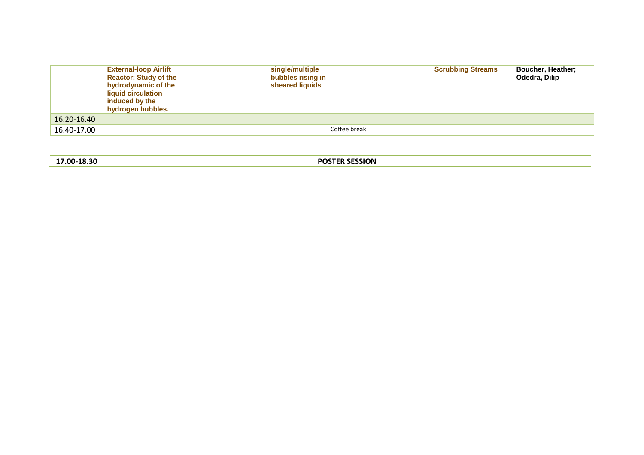|             | <b>External-loop Airlift</b><br><b>Reactor: Study of the</b><br>hydrodynamic of the<br>liquid circulation<br>induced by the<br>hydrogen bubbles. | single/multiple<br>bubbles rising in<br>sheared liquids | <b>Scrubbing Streams</b> | <b>Boucher, Heather:</b><br>Odedra, Dilip |
|-------------|--------------------------------------------------------------------------------------------------------------------------------------------------|---------------------------------------------------------|--------------------------|-------------------------------------------|
| 16.20-16.40 |                                                                                                                                                  |                                                         |                          |                                           |
| 16.40-17.00 |                                                                                                                                                  | Coffee break                                            |                          |                                           |

**17.00-18.30 POSTER SESSION**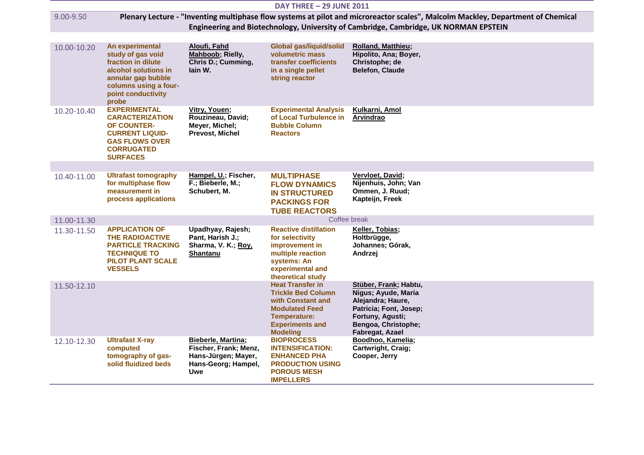| <b>DAY THREE - 29 JUNE 2011</b> |                                                                                                                                                                  |                                                                                                         |                                                                                                                                                                 |                                                                                                                                                                                                                         |
|---------------------------------|------------------------------------------------------------------------------------------------------------------------------------------------------------------|---------------------------------------------------------------------------------------------------------|-----------------------------------------------------------------------------------------------------------------------------------------------------------------|-------------------------------------------------------------------------------------------------------------------------------------------------------------------------------------------------------------------------|
| 9.00-9.50                       |                                                                                                                                                                  |                                                                                                         |                                                                                                                                                                 | Plenary Lecture - "Inventing multiphase flow systems at pilot and microreactor scales", Malcolm Mackley, Department of Chemical<br>Engineering and Biotechnology, University of Cambridge, Cambridge, UK NORMAN EPSTEIN |
| 10.00-10.20                     | An experimental<br>study of gas void<br>fraction in dilute<br>alcohol solutions in<br>annular gap bubble<br>columns using a four-<br>point conductivity<br>probe | Aloufi, Fahd<br>Mahboob; Rielly,<br>Chris D.; Cumming,<br>lain W.                                       | <b>Global gas/liquid/solid</b><br>volumetric mass<br>transfer coefficients<br>in a single pellet<br>string reactor                                              | <b>Rolland, Matthieu;</b><br>Hipolito, Ana; Boyer,<br>Christophe; de<br><b>Belefon, Claude</b>                                                                                                                          |
| 10.20-10.40                     | <b>EXPERIMENTAL</b><br><b>CARACTERIZATION</b><br><b>OF COUNTER-</b><br><b>CURRENT LIQUID-</b><br><b>GAS FLOWS OVER</b><br><b>CORRUGATED</b><br><b>SURFACES</b>   | Vitry, Youen;<br>Rouzineau, David;<br>Meyer, Michel;<br>Prevost, Michel                                 | <b>Experimental Analysis</b><br>of Local Turbulence in<br><b>Bubble Column</b><br><b>Reactors</b>                                                               | Kulkarni, Amol<br>Arvindrao                                                                                                                                                                                             |
| 10.40-11.00                     | <b>Ultrafast tomography</b><br>for multiphase flow<br>measurement in<br>process applications                                                                     | Hampel, U.; Fischer,<br>F.; Bieberle, M.;<br>Schubert, M.                                               | <b>MULTIPHASE</b><br><b>FLOW DYNAMICS</b><br><b>IN STRUCTURED</b><br><b>PACKINGS FOR</b><br><b>TUBE REACTORS</b>                                                | Vervloet, David;<br>Nijenhuis, John; Van<br>Ommen, J. Ruud;<br>Kapteijn, Freek                                                                                                                                          |
| 11.00-11.30                     |                                                                                                                                                                  |                                                                                                         |                                                                                                                                                                 | Coffee break                                                                                                                                                                                                            |
| 11.30-11.50                     | <b>APPLICATION OF</b><br><b>THE RADIOACTIVE</b><br><b>PARTICLE TRACKING</b><br><b>TECHNIQUE TO</b><br><b>PILOT PLANT SCALE</b><br><b>VESSELS</b>                 | Upadhyay, Rajesh;<br>Pant, Harish J.;<br>Sharma, V. K.; Roy,<br>Shantanu                                | <b>Reactive distillation</b><br>for selectivity<br>improvement in<br>multiple reaction<br>systems: An<br>experimental and<br>theoretical study                  | Keller, Tobias;<br>Holtbrügge,<br>Johannes; Górak,<br>Andrzej                                                                                                                                                           |
| 11.50-12.10                     |                                                                                                                                                                  |                                                                                                         | <b>Heat Transfer in</b><br><b>Trickle Bed Column</b><br>with Constant and<br><b>Modulated Feed</b><br>Temperature:<br><b>Experiments and</b><br><b>Modeling</b> | Stüber, Frank; Habtu,<br>Nigus; Ayude, Maria<br>Alejandra; Haure,<br>Patricia; Font, Josep;<br>Fortuny, Agusti;<br>Bengoa, Christophe;<br>Fabregat, Azael                                                               |
| 12.10-12.30                     | <b>Ultrafast X-ray</b><br>computed<br>tomography of gas-<br>solid fluidized beds                                                                                 | <b>Bieberle, Martina;</b><br>Fischer, Frank; Menz,<br>Hans-Jürgen; Mayer,<br>Hans-Georg; Hampel,<br>Uwe | <b>BIOPROCESS</b><br><b>INTENSIFICATION:</b><br><b>ENHANCED PHA</b><br><b>PRODUCTION USING</b><br><b>POROUS MESH</b><br><b>IMPELLERS</b>                        | Boodhoo, Kamelia;<br>Cartwright, Craig;<br>Cooper, Jerry                                                                                                                                                                |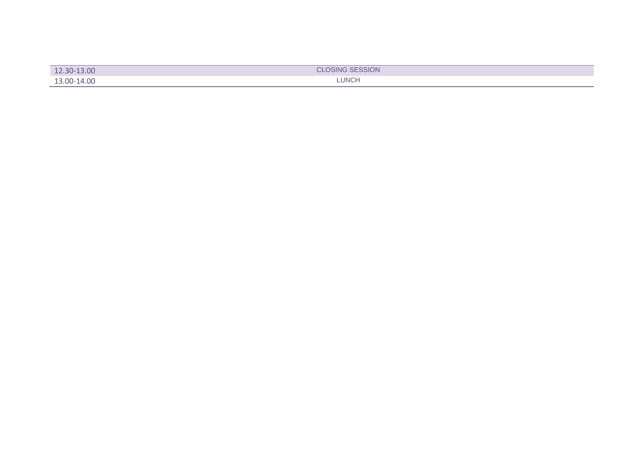| 12.30-13.00 | <b>CLOSING SESSION</b> |
|-------------|------------------------|
| 13.00-14.00 | <b>LUNCH</b>           |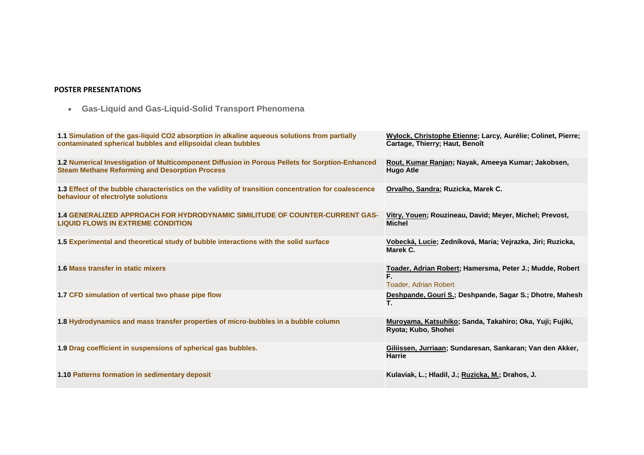## **POSTER PRESENTATIONS**

**Gas-Liquid and Gas-Liquid-Solid Transport Phenomena**

| 1.1 Simulation of the gas-liquid CO2 absorption in alkaline aqueous solutions from partially<br>contaminated spherical bubbles and ellipsoidal clean bubbles | Wylock, Christophe Etienne; Larcy, Aurélie; Colinet, Pierre;<br>Cartage, Thierry; Haut, Benoît |
|--------------------------------------------------------------------------------------------------------------------------------------------------------------|------------------------------------------------------------------------------------------------|
| 1.2 Numerical Investigation of Multicomponent Diffusion in Porous Pellets for Sorption-Enhanced<br><b>Steam Methane Reforming and Desorption Process</b>     | Rout, Kumar Ranjan; Nayak, Ameeya Kumar; Jakobsen,<br><b>Hugo Atle</b>                         |
| 1.3 Effect of the bubble characteristics on the validity of transition concentration for coalescence<br>behaviour of electrolyte solutions                   | Orvalho, Sandra; Ruzicka, Marek C.                                                             |
| <b>1.4 GENERALIZED APPROACH FOR HYDRODYNAMIC SIMILITUDE OF COUNTER-CURRENT GAS-</b><br><b>LIQUID FLOWS IN EXTREME CONDITION</b>                              | Vitry, Youen; Rouzineau, David; Meyer, Michel; Prevost,<br><b>Michel</b>                       |
| 1.5 Experimental and theoretical study of bubble interactions with the solid surface                                                                         | Vobecká, Lucie; Zedníková, Maria; Vejrazka, Jiri; Ruzicka,<br>Marek C.                         |
| 1.6 Mass transfer in static mixers                                                                                                                           | Toader, Adrian Robert; Hamersma, Peter J.; Mudde, Robert<br>F.<br><b>Toader, Adrian Robert</b> |
| 1.7 CFD simulation of vertical two phase pipe flow                                                                                                           | Deshpande, Gouri S.; Deshpande, Sagar S.; Dhotre, Mahesh<br>Τ.                                 |
| 1.8 Hydrodynamics and mass transfer properties of micro-bubbles in a bubble column                                                                           | Muroyama, Katsuhiko; Sanda, Takahiro; Oka, Yuji; Fujiki,<br>Ryota; Kubo, Shohei                |
| 1.9 Drag coefficient in suspensions of spherical gas bubbles.                                                                                                | Giliissen, Jurriaan; Sundaresan, Sankaran; Van den Akker,<br>Harrie                            |
| 1.10 Patterns formation in sedimentary deposit                                                                                                               | Kulaviak, L.; Hladil, J.; Ruzicka, M.; Drahos, J.                                              |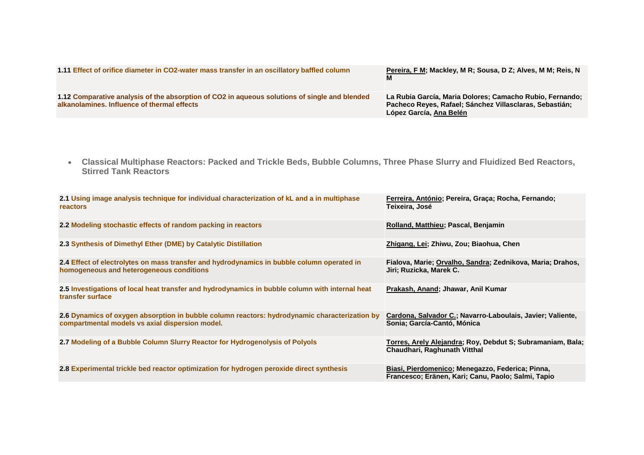| 1.11 Effect of orifice diameter in CO2-water mass transfer in an oscillatory baffled column                                                  | Pereira, F M; Mackley, M R; Sousa, D Z; Alves, M M; Reis, N                                                                                    |
|----------------------------------------------------------------------------------------------------------------------------------------------|------------------------------------------------------------------------------------------------------------------------------------------------|
| 1.12 Comparative analysis of the absorption of CO2 in aqueous solutions of single and blended<br>alkanolamines. Influence of thermal effects | La Rubia García, Maria Dolores; Camacho Rubio, Fernando;<br>Pacheco Reyes, Rafael; Sánchez Villasclaras, Sebastián;<br>López García, Ana Belén |

 **Classical Multiphase Reactors: Packed and Trickle Beds, Bubble Columns, Three Phase Slurry and Fluidized Bed Reactors, Stirred Tank Reactors**

| 2.1 Using image analysis technique for individual characterization of kL and a in multiphase<br>reactors                                         | Ferreira, António; Pereira, Graça; Rocha, Fernando;<br>Teixeira, José                                  |
|--------------------------------------------------------------------------------------------------------------------------------------------------|--------------------------------------------------------------------------------------------------------|
| 2.2 Modeling stochastic effects of random packing in reactors                                                                                    | Rolland, Matthieu; Pascal, Benjamin                                                                    |
| 2.3 Synthesis of Dimethyl Ether (DME) by Catalytic Distillation                                                                                  | Zhigang, Lei; Zhiwu, Zou; Biaohua, Chen                                                                |
| 2.4 Effect of electrolytes on mass transfer and hydrodynamics in bubble column operated in<br>homogeneous and heterogeneous conditions           | Fialova, Marie; Orvalho, Sandra; Zednikova, Maria; Drahos,<br>Jiri; Ruzicka, Marek C.                  |
| 2.5 Investigations of local heat transfer and hydrodynamics in bubble column with internal heat<br>transfer surface                              | Prakash, Anand; Jhawar, Anil Kumar                                                                     |
| 2.6 Dynamics of oxygen absorption in bubble column reactors: hydrodynamic characterization by<br>compartmental models vs axial dispersion model. | Cardona, Salvador C.; Navarro-Laboulais, Javier; Valiente,<br>Sonia; García-Cantó, Mónica              |
| 2.7 Modeling of a Bubble Column Slurry Reactor for Hydrogenolysis of Polyols                                                                     | Torres, Arely Alejandra; Roy, Debdut S; Subramaniam, Bala;<br>Chaudhari, Raghunath Vitthal             |
| 2.8 Experimental trickle bed reactor optimization for hydrogen peroxide direct synthesis                                                         | Biasi, Pierdomenico; Menegazzo, Federica; Pinna,<br>Francesco; Eränen, Kari; Canu, Paolo; Salmi, Tapio |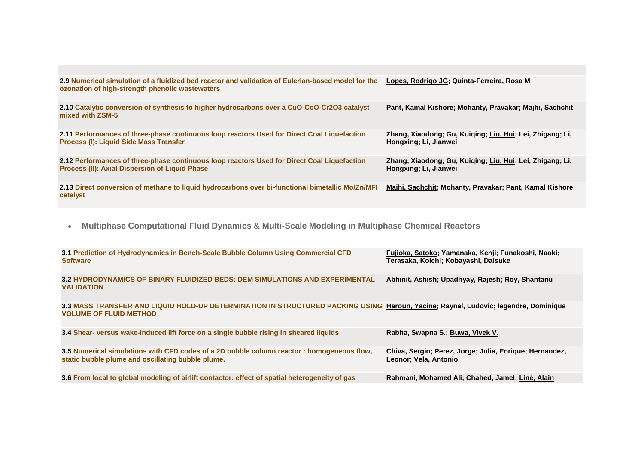| 2.9 Numerical simulation of a fluidized bed reactor and validation of Eulerian-based model for the<br>ozonation of high-strength phenolic wastewaters | Lopes, Rodrigo JG; Quinta-Ferreira, Rosa M                                         |
|-------------------------------------------------------------------------------------------------------------------------------------------------------|------------------------------------------------------------------------------------|
| 2.10 Catalytic conversion of synthesis to higher hydrocarbons over a CuO-CoO-Cr2O3 catalyst<br>mixed with ZSM-5                                       | Pant, Kamal Kishore; Mohanty, Pravakar; Majhi, Sachchit                            |
| 2.11 Performances of three-phase continuous loop reactors Used for Direct Coal Liquefaction<br>Process (I): Liquid Side Mass Transfer                 | Zhang, Xiaodong; Gu, Kuiging; Liu, Hui; Lei, Zhigang; Li,<br>Hongxing; Li, Jianwei |
| 2.12 Performances of three-phase continuous loop reactors Used for Direct Coal Liquefaction<br>Process (II): Axial Dispersion of Liquid Phase         | Zhang, Xiaodong; Gu, Kuiqing; Liu, Hui; Lei, Zhigang; Li,<br>Hongxing; Li, Jianwei |
| 2.13 Direct conversion of methane to liquid hydrocarbons over bi-functional bimetallic Mo/Zn/MFI<br>catalyst                                          | Majhi, Sachchit; Mohanty, Pravakar; Pant, Kamal Kishore                            |

**Multiphase Computational Fluid Dynamics & Multi-Scale Modeling in Multiphase Chemical Reactors** 

| 3.1 Prediction of Hydrodynamics in Bench-Scale Bubble Column Using Commercial CFD<br><b>Software</b>                                                                 | Fujioka, Satoko; Yamanaka, Kenji; Funakoshi, Naoki;<br>Terasaka, Koichi; Kobayashi, Daisuke |
|----------------------------------------------------------------------------------------------------------------------------------------------------------------------|---------------------------------------------------------------------------------------------|
| 3.2 HYDRODYNAMICS OF BINARY FLUIDIZED BEDS: DEM SIMULATIONS AND EXPERIMENTAL<br><b>VALIDATION</b>                                                                    | Abhinit, Ashish; Upadhyay, Rajesh; Roy, Shantanu                                            |
| 3.3 MASS TRANSFER AND LIQUID HOLD-UP DETERMINATION IN STRUCTURED PACKING USING Haroun, Yacine; Raynal, Ludovic; legendre, Dominique<br><b>VOLUME OF FLUID METHOD</b> |                                                                                             |
| 3.4 Shear- versus wake-induced lift force on a single bubble rising in sheared liquids                                                                               | Rabha, Swapna S.; Buwa, Vivek V.                                                            |
| 3.5 Numerical simulations with CFD codes of a 2D bubble column reactor: homogeneous flow,<br>static bubble plume and oscillating bubble plume.                       | Chiva, Sergio; Perez, Jorge; Julia, Enrique; Hernandez,<br>Leonor; Vela, Antonio            |
| 3.6 From local to global modeling of airlift contactor: effect of spatial heterogeneity of gas                                                                       | Rahmani, Mohamed Ali; Chahed, Jamel; Liné, Alain                                            |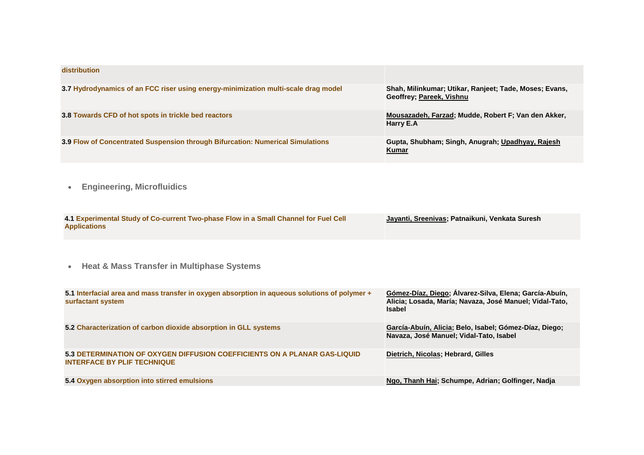| distribution                                                                       |                                                                                    |
|------------------------------------------------------------------------------------|------------------------------------------------------------------------------------|
| 3.7 Hydrodynamics of an FCC riser using energy-minimization multi-scale drag model | Shah, Milinkumar; Utikar, Ranjeet; Tade, Moses; Evans,<br>Geoffrey: Pareek, Vishnu |
| 3.8 Towards CFD of hot spots in trickle bed reactors                               | Mousazadeh, Farzad; Mudde, Robert F; Van den Akker,<br>Harry E.A                   |
| 3.9 Flow of Concentrated Suspension through Bifurcation: Numerical Simulations     | Gupta, Shubham; Singh, Anugrah; Upadhyay, Rajesh<br>Kumar                          |

**Engineering, Microfluidics** 

| 4.1 Experimental Study of Co-current Two-phase Flow in a Small Channel for Fuel Cell | Jayanti, Sreenivas; Patnaikuni, Venkata Suresh |
|--------------------------------------------------------------------------------------|------------------------------------------------|
| <b>Applications</b>                                                                  |                                                |

**Heat & Mass Transfer in Multiphase Systems**

| 5.1 Interfacial area and mass transfer in oxygen absorption in aqueous solutions of polymer +<br>surfactant system | Gómez-Díaz, Diego; Alvarez-Silva, Elena; García-Abuín,<br>Alicia; Losada, María; Navaza, José Manuel; Vidal-Tato,<br><b>Isabel</b> |
|--------------------------------------------------------------------------------------------------------------------|------------------------------------------------------------------------------------------------------------------------------------|
| 5.2 Characterization of carbon dioxide absorption in GLL systems                                                   | García-Abuín, Alicia; Belo, Isabel; Gómez-Díaz, Diego;<br>Navaza, José Manuel; Vidal-Tato, Isabel                                  |
| 5.3 DETERMINATION OF OXYGEN DIFFUSION COEFFICIENTS ON A PLANAR GAS-LIQUID<br><b>INTERFACE BY PLIF TECHNIQUE</b>    | Dietrich, Nicolas; Hebrard, Gilles                                                                                                 |
| 5.4 Oxygen absorption into stirred emulsions                                                                       | Ngo, Thanh Hai; Schumpe, Adrian; Golfinger, Nadja                                                                                  |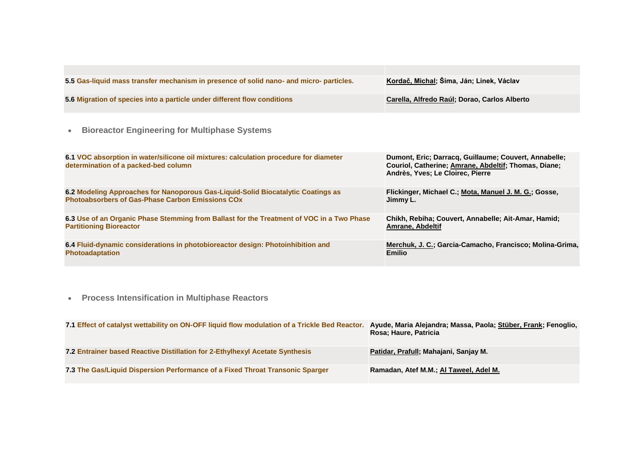| 5.5 Gas-liquid mass transfer mechanism in presence of solid nano- and micro- particles.                                                     | Kordač, Michal; Šíma, Ján; Linek, Václav                                                                                                          |
|---------------------------------------------------------------------------------------------------------------------------------------------|---------------------------------------------------------------------------------------------------------------------------------------------------|
| 5.6 Migration of species into a particle under different flow conditions                                                                    | Carella, Alfredo Raúl; Dorao, Carlos Alberto                                                                                                      |
| <b>Bioreactor Engineering for Multiphase Systems</b><br>$\bullet$                                                                           |                                                                                                                                                   |
| 6.1 VOC absorption in water/silicone oil mixtures: calculation procedure for diameter<br>determination of a packed-bed column               | Dumont, Eric; Darracq, Guillaume; Couvert, Annabelle;<br>Couriol, Catherine; Amrane, Abdeltif; Thomas, Diane;<br>Andrès, Yves; Le Cloirec, Pierre |
| 6.2 Modeling Approaches for Nanoporous Gas-Liquid-Solid Biocatalytic Coatings as<br><b>Photoabsorbers of Gas-Phase Carbon Emissions COx</b> | Flickinger, Michael C.; Mota, Manuel J. M. G.; Gosse,<br>Jimmy L.                                                                                 |
| 6.3 Use of an Organic Phase Stemming from Ballast for the Treatment of VOC in a Two Phase<br><b>Partitioning Bioreactor</b>                 | Chikh, Rebiha; Couvert, Annabelle; Ait-Amar, Hamid;<br>Amrane, Abdeltif                                                                           |
| 6.4 Fluid-dynamic considerations in photobioreactor design: Photoinhibition and<br><b>Photoadaptation</b>                                   | Merchuk, J. C.; Garcia-Camacho, Francisco; Molina-Grima,<br><b>Emilio</b>                                                                         |

**Process Intensification in Multiphase Reactors**

| 7.1 Effect of catalyst wettability on ON-OFF liquid flow modulation of a Trickle Bed Reactor. | Ayude, Maria Alejandra; Massa, Paola; Stüber, Frank; Fenoglio,<br>Rosa; Haure, Patricia |
|-----------------------------------------------------------------------------------------------|-----------------------------------------------------------------------------------------|
| 7.2 Entrainer based Reactive Distillation for 2-Ethylhexyl Acetate Synthesis                  | Patidar, Prafull; Mahajani, Sanjay M.                                                   |
| 7.3 The Gas/Liquid Dispersion Performance of a Fixed Throat Transonic Sparger                 | Ramadan, Atef M.M.; Al Taweel, Adel M.                                                  |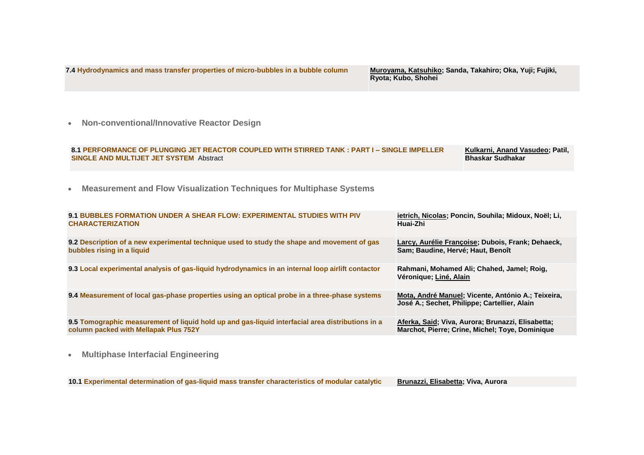**7.4 [Hydrodynamics and mass transfer properties of micro-bubbles in a bubble column](https://www.conftool.net/gls10/index.php?page=adminPapersDetails&form_id=257)** 

Muroyama, Katsuhiko; Sanda, Takahiro; Oka, Yuji; Fujiki, Ryota; Kubo, Shohei

**Non-conventional/Innovative Reactor Design**

| 8.1 PERFORMANCE OF PLUNGING JET REACTOR COUPLED WITH STIRRED TANK : PART I – SINGLE IMPELLER | Kulkarni, Anand Vasudeo; Patil, |
|----------------------------------------------------------------------------------------------|---------------------------------|
| SINGLE AND MULTIJET JET SYSTEM Abstract                                                      | Bhaskar Sudhakar                |

**Measurement and Flow Visualization Techniques for Multiphase Systems**

| 9.1 BUBBLES FORMATION UNDER A SHEAR FLOW: EXPERIMENTAL STUDIES WITH PIV                           | ietrich, Nicolas; Poncin, Souhila; Midoux, Noël; Li,                                               |
|---------------------------------------------------------------------------------------------------|----------------------------------------------------------------------------------------------------|
| <b>CHARACTERIZATION</b>                                                                           | Huai-Zhi                                                                                           |
| 9.2 Description of a new experimental technique used to study the shape and movement of gas       | Larcy, Aurélie Françoise; Dubois, Frank; Dehaeck,                                                  |
| bubbles rising in a liquid                                                                        | Sam; Baudine, Hervé; Haut, Benoît                                                                  |
| 9.3 Local experimental analysis of gas-liquid hydrodynamics in an internal loop airlift contactor | Rahmani, Mohamed Ali; Chahed, Jamel; Roig,<br>Véronique; Liné, Alain                               |
| 9.4 Measurement of local gas-phase properties using an optical probe in a three-phase systems     | Mota, André Manuel; Vicente, António A.; Teixeira,<br>José A.; Sechet, Philippe; Cartellier, Alain |
| 9.5 Tomographic measurement of liquid hold up and gas-liquid interfacial area distributions in a  | Aferka, Said; Viva, Aurora; Brunazzi, Elisabetta;                                                  |
| column packed with Mellapak Plus 752Y                                                             | Marchot, Pierre; Crine, Michel; Toye, Dominique                                                    |
| <b>Multiphase Interfacial Engineering</b><br>$\bullet$                                            |                                                                                                    |

**10.[1 Experimental determination of gas-liquid mass transfer characteristics of modular catalytic](https://www.conftool.net/gls10/index.php?page=adminPapersDetails&form_id=177) Brunazzi, Elisabetta; Viva, Aurora**